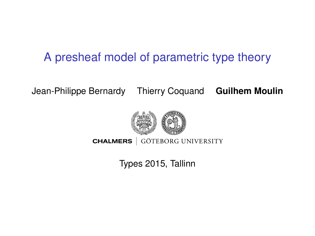## <span id="page-0-0"></span>A presheaf model of parametric type theory

Jean-Philippe Bernardy Thierry Coquand **Guilhem Moulin**



**CHALMERS** GÖTEBORG UNIVERSITY

Types 2015, Tallinn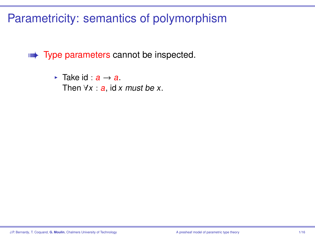## Parametricity: semantics of polymorphism

w**ata Type parameters cannot be inspected.** 

 $\triangleright$  Take id  $\cdot$  a → a. Then  $\forall x : a$ , id x must be x.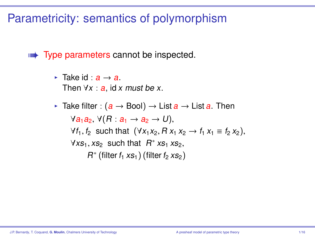#### Parametricity: semantics of polymorphism

w**ata Type parameters cannot be inspected.** 

- $\blacktriangleright$  Take id :  $a \rightarrow a$ . Then  $\forall x : a$ , id x must be x.
- **F** Take filter :  $(a \rightarrow \text{Bool}) \rightarrow \text{List } a \rightarrow \text{List } a$ . Then  $\forall a_1a_2, \forall (R: a_1 \rightarrow a_2 \rightarrow U),$  $\forall f_1, f_2$  such that  $(\forall x_1 x_2, R x_1 x_2 → f_1 x_1 \equiv f_2 x_2),$  $\forall x s_1, x s_2$  such that  $R^* x s_1 x s_2$ ,<br> $R^*$  (filter f, ye, ) (filter f, ye, )  $R^*$  (filter  $f_1$  xs<sub>1</sub>) (filter  $f_2$  xs<sub>2</sub>)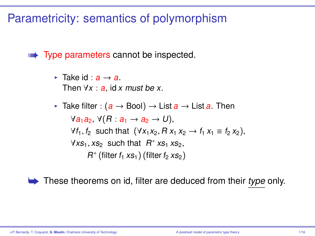#### Parametricity: semantics of polymorphism

w**ata Type parameters cannot be inspected.** 

 $\blacktriangleright$  Take id :  $a \rightarrow a$ . Then  $\forall x : a$ , id x must be x.

**F** Take filter :  $(a \rightarrow \text{Bool}) \rightarrow \text{List } a \rightarrow \text{List } a$ . Then  $\forall a_1a_2, \forall (R: a_1 \rightarrow a_2 \rightarrow U),$  $\forall f_1, f_2$  such that  $(\forall x_1 x_2, R x_1 x_2 → f_1 x_1 \equiv f_2 x_2),$  $\forall x s_1, x s_2$  such that  $R^* x s_1 x s_2$ ,<br> $R^*$  (filter f, ye, ) (filter f, ye, )  $R^*$  (filter  $f_1$  xs<sub>1</sub>) (filter  $f_2$  xs<sub>2</sub>)

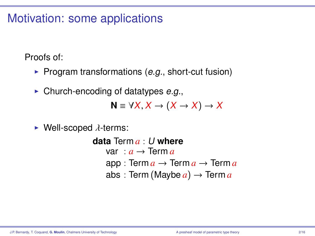#### Motivation: some applications

Proofs of:

- $\triangleright$  Program transformations (e.g., short-cut fusion)
- $\triangleright$  Church-encoding of datatypes e.g.,

 $N \equiv \forall X, X \rightarrow (X \rightarrow X) \rightarrow X$ 

 $\blacktriangleright$  Well-scoped  $\lambda$ -terms:

**data** Term *a* : U **where** var :  $a \rightarrow$  Term  $a$ app : Term  $a \rightarrow$  Term  $a \rightarrow$  Term  $a$ abs : Term (Maybe  $a) \rightarrow$  Term  $a$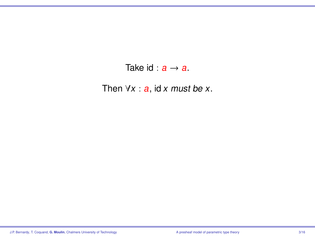#### Take id :  $a \rightarrow a$ .

Then  $\forall x : a$ , id x must be x.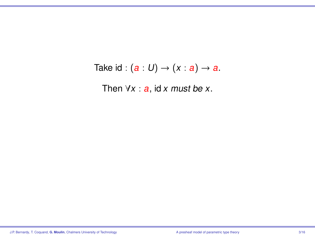#### Take id :  $(a: U) \rightarrow (x: a) \rightarrow a$ .

Then  $\forall x : a$ , id x must be x.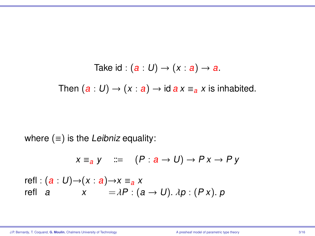Take id : 
$$
(a : U) \rightarrow (x : a) \rightarrow a
$$
.  
Then  $(a : U) \rightarrow (x : a) \rightarrow id \text{ a } x \equiv_a x$  is inhabited.

where  $(≡)$  is the Leibniz equality:

$$
x \equiv_a y \quad ::= \quad (P: a \rightarrow U) \rightarrow Px \rightarrow Py
$$

refl :  $(a: U) \rightarrow (x: a) \rightarrow x \equiv_a x$ refl a  $x = \lambda P : (a \rightarrow U) \cdot \lambda p : (Px) \cdot p$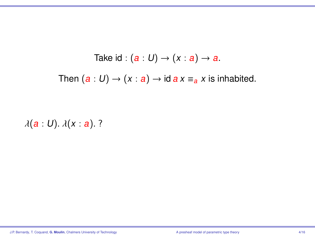$\lambda(a:U)$ .  $\lambda(x:a)$ . ?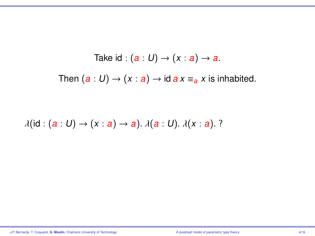$$
\lambda(\mathrm{id}:(a:U)\to(x:a)\to a).\lambda(a:U).\lambda(x:a).
$$
?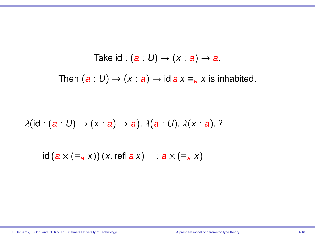$$
\lambda(\mathrm{id}:(a:U)\to(x:a)\to a).\lambda(a:U).\lambda(x:a).
$$
?

 $id (a \times (\equiv_a x)) (x, \text{refl } a x)$  :  $a \times (\equiv_a x)$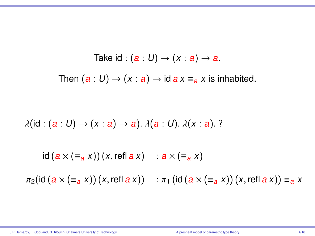$\lambda(id : (a : U) \rightarrow (x : a) \rightarrow a)$ .  $\lambda(a : U)$ .  $\lambda(x : a)$ . ?

 $id (a \times (\equiv_{\mathbf{a}} x)) (x, \text{refl } a x)$  :  $a \times (\equiv_{\mathbf{a}} x)$ 

 $\pi_2(id (a \times (\equiv_a x)) (x, \text{refl } a x))$  :  $\pi_1(id (a \times (\equiv_a x)) (x, \text{refl } a x)) \equiv_a x$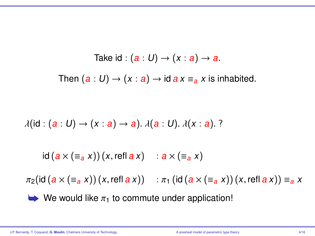$\lambda(id : (a : U) \rightarrow (x : a) \rightarrow a)$ .  $\lambda(a : U)$ .  $\lambda(x : a)$ . ?

 $id (a \times (\equiv_{\mathbf{a}} x)) (x, \text{refl } a x)$  :  $a \times (\equiv_{\mathbf{a}} x)$ 

 $\pi_2(id (a \times (\equiv_a x)) (x, \text{refl } a x))$  :  $\pi_1(id (a \times (\equiv_a x)) (x, \text{refl } a x)) \equiv_a x$ 

 $\blacktriangleright$  We would like  $\pi_1$  to commute under application!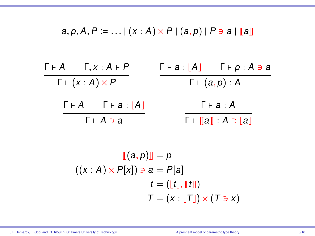$a, p, A, P := ... | (x : A) \times P | (a, p) | P \ni a | \llbracket a \rrbracket$ 

| $\Gamma \vdash A \qquad \Gamma, x : A \vdash P$ | $\lceil \cdot a : \lceil A \rceil$ $\lceil \cdot p : A \ni a \rceil$ |
|-------------------------------------------------|----------------------------------------------------------------------|
| $\Gamma \vdash (x : A) \times P$                | $\Gamma \vdash (a, p) : A$                                           |
| $\Gamma \vdash A$ $\Gamma \vdash a :  A $       | $\lceil a : A \rceil$                                                |
| Г⊦А∋а                                           | $\Gamma \vdash \llbracket a \rrbracket : A \ni  a $                  |

$$
\mathbb{I}[(a, p)] = p
$$
  

$$
((x : A) \times P[x]) \ni a = P[a]
$$
  

$$
t = (\lfloor t \rfloor, \lfloor t \rfloor) \times (T \ni x)
$$
  

$$
T = (x : \lfloor T \rfloor) \times (T \ni x)
$$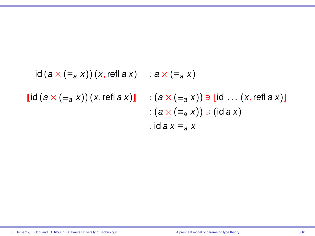$$
id (a \times (\equiv_a x)) (x, \text{refl } a x) : a \times (\equiv_a x)
$$
  

$$
[id (a \times (\equiv_a x)) (x, \text{refl } a x)] : (a \times (\equiv_a x)) \ni [id ... (x, \text{refl } a x)]
$$
  

$$
: (a \times (\equiv_a x)) \ni (id a x)
$$
  

$$
: id a x \equiv_a x
$$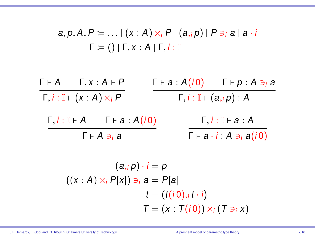$$
a, p, A, P := ... | (x : A) \times_i P | (a_{i} p) | P \ni_i a | a \cdot i
$$
  

$$
\Gamma := () | \Gamma, x : A | \Gamma, i : \mathbb{I}
$$

$$
\frac{\Gamma + A \qquad \Gamma, x : A + P}{\Gamma, i : \mathbb{I} + (x : A) \times_i P} \qquad \frac{\Gamma + a : A(i0) \qquad \Gamma + p : A \ni a}{\Gamma, i : \mathbb{I} + (a, i p) : A}
$$
\n
$$
\frac{\Gamma, i : \mathbb{I} + A \qquad \Gamma + a : A(i0)}{\Gamma + A \ni a} \qquad \frac{\Gamma, i : \mathbb{I} + a : A}{\Gamma + a \cdot i : A \ni a(i0)}
$$

$$
(a_{i}, p) \cdot i = p
$$
  

$$
((x : A) \times_{i} P[x]) \ni_{i} a = P[a]
$$
  

$$
t = (t(i0), i t \cdot i)
$$
  

$$
T = (x : T(i0)) \times_{i} (T \ni_{i} x)
$$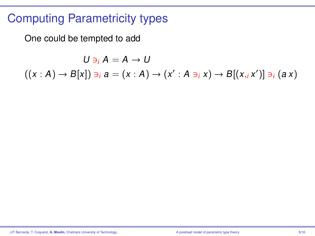#### Computing Parametricity types

One could be tempted to add

 $U \ni i A = A \rightarrow U$  $((x : A) \rightarrow B[x]) \ni_i a = (x : A) \rightarrow (x' : A \ni_i x) \rightarrow B[(x, i x')] \ni_i (a x)$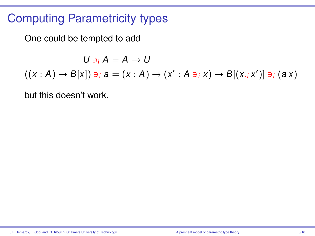## Computing Parametricity types

One could be tempted to add

 $U \ni i A = A \rightarrow U$  $((x : A) \rightarrow B[x]) \ni_i a = (x : A) \rightarrow (x' : A \ni_i x) \rightarrow B[(x, i x')] \ni_i (a x)$ 

but this doesn't work.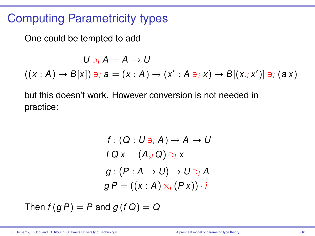#### Computing Parametricity types

One could be tempted to add

 $U \ni i A = A \rightarrow U$  $((x : A) \rightarrow B[x]) \ni_i a = (x : A) \rightarrow (x' : A \ni_i x) \rightarrow B[(x, i x')] \ni_i (a x)$ 

but this doesn't work. However conversion is not needed in practice:

$$
f: (Q: U \ni_i A) \to A \to U
$$
  

$$
f Q x = (A_{,i} Q) \ni_i x
$$
  

$$
g: (P: A \to U) \to U \ni_i A
$$
  

$$
g P = ((x: A) \times_i (P x)) \cdot i
$$

Then  $f(g P) = P$  and  $g(f Q) = Q$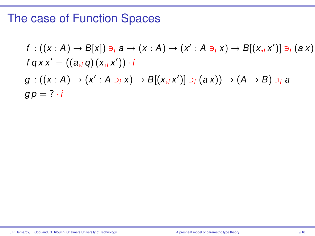## The case of Function Spaces

$$
f: ((x : A) \rightarrow B[x]) \ni_i a \rightarrow (x : A) \rightarrow (x' : A \ni_i x) \rightarrow B[(x, i, x')] \ni_i (a x)
$$
  

$$
f q x x' = ((a, i, q) (x, i, x')) \cdot i
$$
  

$$
g: ((x : A) \rightarrow (x' : A \ni_i x) \rightarrow B[(x, i, x')] \ni_i (a x)) \rightarrow (A \rightarrow B) \ni_i a
$$
  

$$
g p = ? \cdot i
$$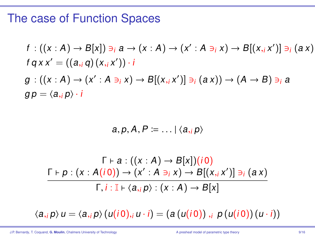#### The case of Function Spaces

$$
f: ((x : A) \rightarrow B[x]) \ni_i a \rightarrow (x : A) \rightarrow (x' : A \ni_i x) \rightarrow B[(x, i, x')] \ni_i (a x)
$$
  

$$
f q x x' = ((a, i, q) (x, i, x')) \cdot i
$$
  

$$
g: ((x : A) \rightarrow (x' : A \ni_i x) \rightarrow B[(x, i, x')] \ni_i (a x)) \rightarrow (A \rightarrow B) \ni_i a
$$
  

$$
g p = \langle a, i, p \rangle \cdot i
$$

$$
a, p, A, P \coloneqq \ldots \mid \langle a, p \rangle
$$

$$
\Gamma \vdash a : ((x : A) \rightarrow B[x])(i0)
$$
\n
$$
\Gamma \vdash p : (x : A(i0)) \rightarrow (x' : A \ni_i x) \rightarrow B[(x, i x')] \ni_i (ax)
$$
\n
$$
\Gamma, i : \mathbb{I} \vdash \langle a, i p \rangle : (x : A) \rightarrow B[x]
$$

 $\langle a_{i}, p \rangle u = \langle a_{i}, p \rangle (u(i 0), i u \cdot i) = (a (u(i 0)), i p (u(i 0)) (u \cdot i))$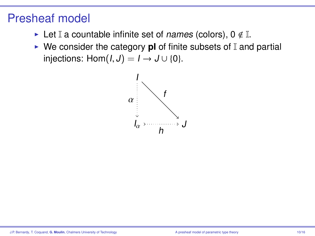- Exect I a countable infinite set of *names* (colors),  $0 \notin \mathbb{I}$ .
- $\triangleright$  We consider the category **pl** of finite subsets of  $\mathbb{I}$  and partial injections: Hom $(I, J) = I \rightarrow J \cup \{0\}.$

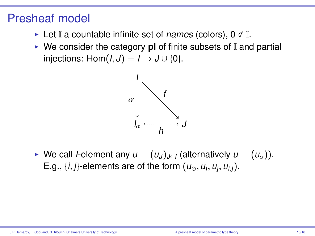- Exect I a countable infinite set of *names* (colors),  $0 \notin \mathbb{I}$ .
- $\triangleright$  We consider the category **pl** of finite subsets of  $\mathbb{I}$  and partial injections: Hom $(I, J) = I \rightarrow J \cup \{0\}$ .



► We call *I*-element any  $u = (u_J)_{J \subset I}$  (alternatively  $u = (u_\alpha)$ ). E.g., {*i*, *j*}-elements are of the form  $(u_{\emptyset}, u_i, u_j, u_{i,j})$ .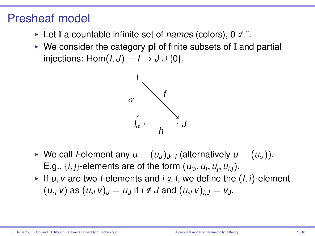- Exect I a countable infinite set of *names* (colors),  $0 \notin \mathbb{I}$ .
- $\triangleright$  We consider the category **pl** of finite subsets of I and partial injections: Hom $(I, J) = I \rightarrow J \cup \{0\}$ .



- ► We call *I*-element any  $u = (u_J)_{J \subset I}$  (alternatively  $u = (u_\alpha)$ ). E.g.,  $\{i, j\}$ -elements are of the form  $(u_{\emptyset}, u_i, u_j, u_{i,j})$ .<br>If u, y are two belements and  $i \notin I$ , we define the
- If u, v are two *I*-elements and  $i \notin I$ , we define the  $(I, i)$ -element  $(u_i, v)$  as  $(u_i, v)_j = u_j$  if  $i \notin J$  and  $(u_i, v)_{i,j} = v_j$ .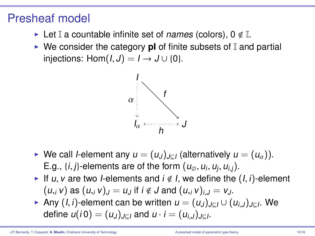- Exect I a countable infinite set of *names* (colors),  $0 \notin \mathbb{I}$ .
- $\triangleright$  We consider the category **pl** of finite subsets of  $\mathbb{I}$  and partial injections: Hom $(I, J) = I \rightarrow J \cup \{0\}$ .



- ► We call *I*-element any  $u = (u_J)_{J \subset I}$  (alternatively  $u = (u_\alpha)$ ). E.g.,  $\{i, j\}$ -elements are of the form  $(u_{\emptyset}, u_i, u_j, u_{i,j})$ .<br>If u, y are two belements and  $i \notin I$ , we define the
- If u, v are two *I*-elements and  $i \notin I$ , we define the  $(I, i)$ -element  $(u_i, v)$  as  $(u_i, v)_j = u_j$  if  $i \notin J$  and  $(u_i, v)_{i,j} = v_j$ .
- **IF** Any  $(I, i)$ -element can be written  $u = (u_J)_{J \subseteq I} \cup (u_{i,J})_{J \subseteq I}$ . We define  $u(i \Omega) = (u_J)_{J \subseteq I}$  and  $u_J = (u_{J})_{J \subseteq I}$ define  $u(i0) = (u_J)_{J \subseteq I}$  and  $u \cdot i = (u_{i,J})_{J \subseteq I}$ .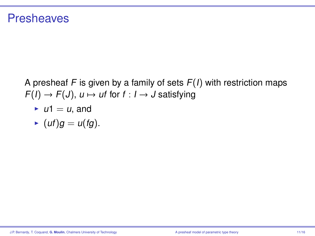#### **Presheaves**

A presheaf F is given by a family of sets  $F(1)$  with restriction maps  $F(I) \rightarrow F(J)$ ,  $u \mapsto ut$  for  $f : I \rightarrow J$  satisfying

$$
\blacktriangleright u1 = u, \text{ and}
$$

$$
\blacktriangleright (uf)g = u(fg).
$$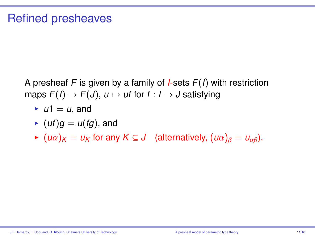A presheaf F is given by a family of *I*-sets  $F(I)$  with restriction maps  $F(I) \rightarrow F(J)$ ,  $u \mapsto uf$  for  $f : I \rightarrow J$  satisfying

- $\blacktriangleright$  u1 = u, and
- $(u f)g = u(fg)$ , and
- $\bullet$  (u $\alpha)_K = u_K$  for any  $K \subseteq J$  (alternatively,  $(u\alpha)_B = u_{\alpha\beta}$ ).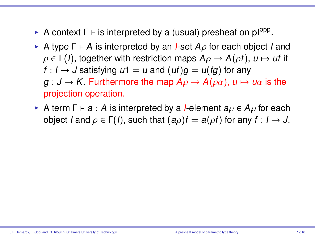- **A** context  $\Gamma \vdash$  is interpreted by a (usual) presheaf on pl<sup>opp</sup>.
- A type  $\Gamma \vdash A$  is interpreted by an *I*-set  $A_{\rho}$  for each object I and  $\rho \in \Gamma(I)$ , together with restriction maps  $A\rho \rightarrow A(\rho f)$ ,  $u \mapsto ut$  if  $f: I \rightarrow J$  satisfying  $u_1 = u$  and  $(uf)g = u(fg)$  for any  $g: J \to K$ . Furthermore the map  $A\rho \to A(\rho\alpha)$ ,  $u \mapsto u\alpha$  is the projection operation.
- A term  $\Gamma \vdash a : A$  is interpreted by a *I*-element  $a \rho \in A \rho$  for each object I and  $\rho \in \Gamma(I)$ , such that  $(a\rho)f = a(\rho f)$  for any  $f : I \to J$ .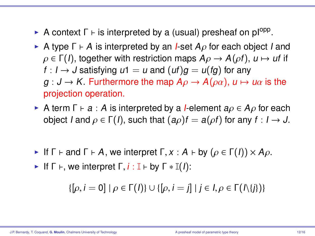- **A** context  $\Gamma \vdash$  is interpreted by a (usual) presheaf on pl<sup>opp</sup>.
- A type  $\Gamma \vdash A$  is interpreted by an *I*-set  $A_{\rho}$  for each object I and  $\rho \in \Gamma(I)$ , together with restriction maps  $A\rho \rightarrow A(\rho f)$ ,  $u \mapsto ut$  if  $f: I \rightarrow J$  satisfying  $u_1 = u$  and  $(uf)g = u(fg)$  for any  $g: J \to K$ . Furthermore the map  $A\rho \to A(\rho\alpha)$ ,  $u \mapsto u\alpha$  is the projection operation.
- A term  $\Gamma \vdash a : A$  is interpreted by a *I*-element  $a \rho \in A \rho$  for each object I and  $\rho \in \Gamma(1)$ , such that  $(a\rho)f = a(\rho f)$  for any  $f : I \to J$ .
- If  $\Gamma \vdash$  and  $\Gamma \vdash A$ , we interpret  $\Gamma, x : A \vdash$  by  $(\rho \in \Gamma(I)) \times A\rho$ .
- If  $\Gamma \vdash$ , we interpret  $\Gamma$ ,  $i : \mathbb{I} \vdash$  by  $\Gamma * \mathbb{I}(I)$ :

 $\{[\rho, i = 0] \mid \rho \in \Gamma(\Lambda)\} \cup \{[\rho, i = j] \mid j \in I, \rho \in \Gamma(\Lambda\{j\})\}$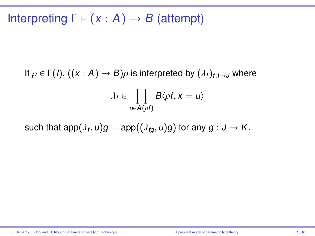## Interpreting  $\Gamma \vdash (x : A) \rightarrow B$  (attempt)

If  $\rho \in \Gamma(1)$ ,  $((x : A) \rightarrow B)\rho$  is interpreted by  $(\lambda_i)_{i:1 \rightarrow J}$  where

$$
\lambda_f \in \prod_{u \in A(\rho f)} B\langle \rho f, x = u \rangle
$$

such that  $\mathsf{app}(\lambda_f, u)g = \mathsf{app}((\lambda_{fg}, u)g)$  for any  $g: \mathsf{J} \to \mathsf{K}.$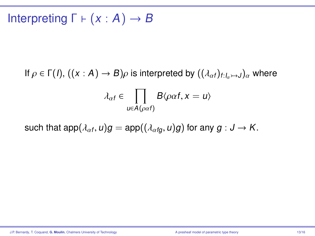## Interpreting  $\Gamma \vdash (x : A) \rightarrow B$

If  $\rho \in \Gamma(1)$ ,  $((x : A) \to B)\rho$  is interpreted by  $((\lambda_{\alpha}f)_{f:[a,a])}\rho$  where

$$
\lambda_{\alpha f} \in \prod_{u \in A(\rho \alpha f)} B\langle \rho \alpha f, x = u \rangle
$$

such that  $\mathsf{app}(\lambda_{\alpha f},u)g = \mathsf{app}((\lambda_{\alpha fg},u)g)$  for any  $g: \mathsf{J} \to \mathsf{K}.$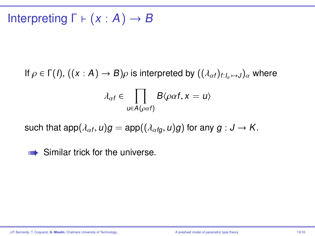# Interpreting  $\Gamma \vdash (x : A) \rightarrow B$

If  $\rho \in \Gamma(I)$ ,  $((x : A) \to B)\rho$  is interpreted by  $((\lambda_{\alpha f})_{f : I_{\alpha} \to J})_{\alpha}$  where

$$
\lambda_{\alpha f} \in \prod_{u \in A(\rho \alpha f)} B\langle \rho \alpha f, x = u \rangle
$$

such that  $\mathsf{app}(\lambda_{\alpha f},u)g = \mathsf{app}((\lambda_{\alpha fg},u)g)$  for any  $g: \mathsf{J} \to \mathsf{K}.$ 

**w** Similar trick for the universe.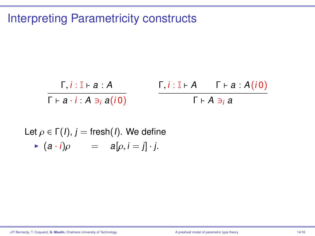## Interpreting Parametricity constructs

$$
\frac{\Gamma, i : \mathbb{I} \vdash a : A}{\Gamma \vdash a \cdot i : A \ni_i a(i0)} \qquad \frac{\Gamma, i : \mathbb{I} \vdash A \qquad \Gamma \vdash a : A(i0)}{\Gamma \vdash A \ni_i a}
$$

Let 
$$
\rho \in \Gamma(l)
$$
,  $j = \text{fresh}(l)$ . We define  
\n•  $(a \cdot i)\rho = a[\rho, i = j] \cdot j$ .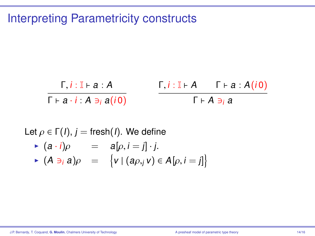## Interpreting Parametricity constructs

$$
\frac{\Gamma, i : \mathbb{I} \vdash a : A}{\Gamma \vdash a \cdot i : A \ni_i a(i0)} \qquad \frac{\Gamma, i : \mathbb{I} \vdash A \qquad \Gamma \vdash a : A(i0)}{\Gamma \vdash A \ni_i a}
$$

Let 
$$
\rho \in \Gamma(l)
$$
,  $j = \text{fresh}(l)$ . We define  
\n
$$
\begin{array}{rcl}\n\blacktriangleright & (a \cdot i)\rho & = & a[\rho, i = j] \cdot j. \\
\blacktriangleright & (A \ni_i a)\rho & = & \{v \mid (a\rho, j v) \in A[\rho, i = j]\}\n\end{array}
$$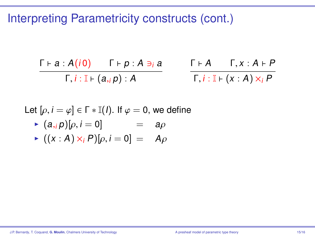Interpreting Parametricity constructs (cont.)

$$
\frac{\Gamma \vdash a : A(i0) \qquad \Gamma \vdash p : A \ni_i a}{\Gamma, i : \mathbb{I} \vdash (a, i p) : A} \qquad \frac{\Gamma \vdash A \qquad \Gamma, x : A \vdash P}{\Gamma, i : \mathbb{I} \vdash (x : A) \times_i P}
$$

Let  $[\rho, i = \varphi] \in \Gamma * \mathbb{I}(l)$ . If  $\varphi = 0$ , we define<br>  $\blacktriangleright$   $(a, p)[a, i - 0]$  - and

$$
\triangleright (a_{,i} p)[\rho, i = 0] = a\rho
$$

$$
\blacktriangleright ((x:A)\times_i P)[\rho, i=0] = A\rho
$$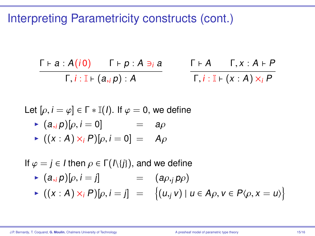Interpreting Parametricity constructs (cont.)

$$
\frac{\Gamma \vdash a : A(i0) \qquad \Gamma \vdash p : A \ni_i a}{\Gamma, i : \mathbb{I} \vdash (a, i p) : A} \qquad \frac{\Gamma \vdash A \qquad \Gamma, x : A \vdash P}{\Gamma, i : \mathbb{I} \vdash (x : A) \times_i P}
$$

Let 
$$
[\rho, i = \varphi] \in \Gamma * \mathbb{I}(l)
$$
. If  $\varphi = 0$ , we define

$$
\triangleright (a_{,i} p)[\rho, i = 0] = a\rho
$$

$$
\blacktriangleright ((x:A)\times_i P)[\rho, i=0] = A\rho
$$

If  $\varphi = j \in I$  then  $\rho \in \Gamma(\Lambda\{j\})$ , and we define

▶ 
$$
(a_{,i} p)[\rho, i = j]
$$
 =  $(a_{\rho,j} p_{\rho})$   
\n▶  $((x : A) \times_i P)[\rho, i = j]$  =  $\{(u_{,j} v) | u \in A_{\rho}, v \in P\langle \rho, x = u \rangle\}$